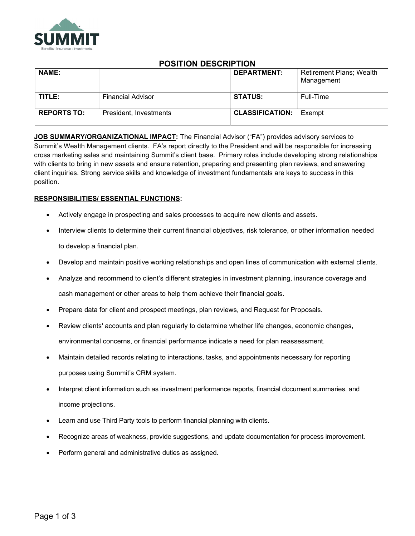

# POSITION DESCRIPTION

| <b>NAME:</b>       |                          | <b>DEPARTMENT:</b>     | <b>Retirement Plans; Wealth</b><br>Management |
|--------------------|--------------------------|------------------------|-----------------------------------------------|
| TITLE:             | <b>Financial Advisor</b> | <b>STATUS:</b>         | Full-Time                                     |
| <b>REPORTS TO:</b> | President, Investments   | <b>CLASSIFICATION:</b> | Exempt                                        |

JOB SUMMARY/ORGANIZATIONAL IMPACT: The Financial Advisor ("FA") provides advisory services to Summit's Wealth Management clients. FA's report directly to the President and will be responsible for increasing cross marketing sales and maintaining Summit's client base. Primary roles include developing strong relationships with clients to bring in new assets and ensure retention, preparing and presenting plan reviews, and answering client inquiries. Strong service skills and knowledge of investment fundamentals are keys to success in this position.

# RESPONSIBILITIES/ ESSENTIAL FUNCTIONS:

- Actively engage in prospecting and sales processes to acquire new clients and assets.
- Interview clients to determine their current financial objectives, risk tolerance, or other information needed to develop a financial plan.
- Develop and maintain positive working relationships and open lines of communication with external clients.
- Analyze and recommend to client's different strategies in investment planning, insurance coverage and cash management or other areas to help them achieve their financial goals.
- Prepare data for client and prospect meetings, plan reviews, and Request for Proposals.
- Review clients' accounts and plan regularly to determine whether life changes, economic changes, environmental concerns, or financial performance indicate a need for plan reassessment.
- Maintain detailed records relating to interactions, tasks, and appointments necessary for reporting purposes using Summit's CRM system.
- Interpret client information such as investment performance reports, financial document summaries, and income projections.
- Learn and use Third Party tools to perform financial planning with clients.
- Recognize areas of weakness, provide suggestions, and update documentation for process improvement.
- Perform general and administrative duties as assigned.